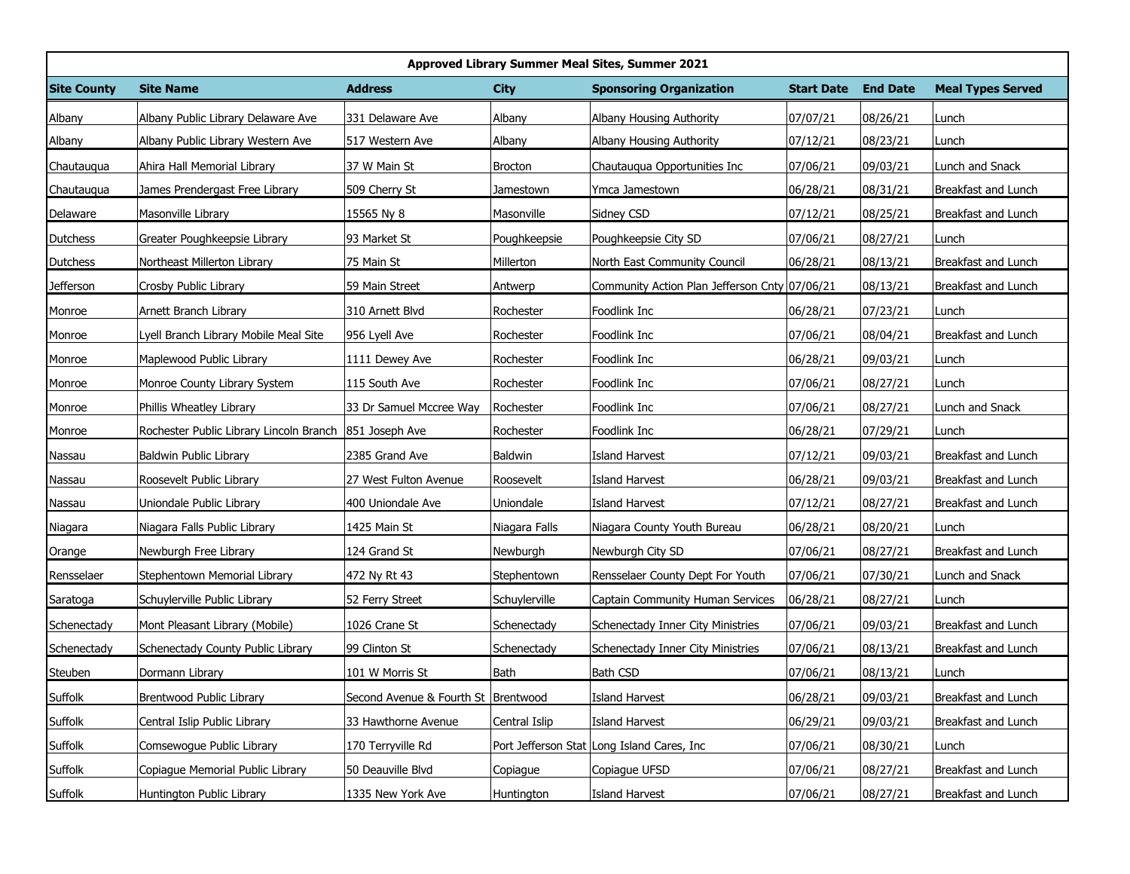| Approved Library Summer Meal Sites, Summer 2021 |                                                        |                                       |               |                                               |                   |                 |                          |  |  |  |  |
|-------------------------------------------------|--------------------------------------------------------|---------------------------------------|---------------|-----------------------------------------------|-------------------|-----------------|--------------------------|--|--|--|--|
| <b>Site County</b>                              | <b>Site Name</b>                                       | <b>Address</b>                        | <b>City</b>   | <b>Sponsoring Organization</b>                | <b>Start Date</b> | <b>End Date</b> | <b>Meal Types Served</b> |  |  |  |  |
| Albany                                          | Albany Public Library Delaware Ave                     | 331 Delaware Ave                      | Albany        | Albany Housing Authority                      | 07/07/21          | 08/26/21        | Lunch                    |  |  |  |  |
| Albany                                          | Albany Public Library Western Ave                      | 517 Western Ave                       | Albany        | Albany Housing Authority                      | 07/12/21          | 08/23/21        | Lunch                    |  |  |  |  |
| Chautauqua                                      | Ahira Hall Memorial Library                            | 37 W Main St                          | Brocton       | Chautauqua Opportunities Inc                  | 07/06/21          | 09/03/21        | Lunch and Snack          |  |  |  |  |
| Chautauqua                                      | James Prendergast Free Library                         | 509 Cherry St                         | Jamestown     | Ymca Jamestown                                | 06/28/21          | 08/31/21        | Breakfast and Lunch      |  |  |  |  |
| Delaware                                        | Masonville Library                                     | 15565 Ny 8                            | Masonville    | Sidney CSD                                    | 07/12/21          | 08/25/21        | Breakfast and Lunch      |  |  |  |  |
| <b>Dutchess</b>                                 | Greater Poughkeepsie Library                           | 93 Market St                          | Poughkeepsie  | Poughkeepsie City SD                          | 07/06/21          | 08/27/21        | Lunch                    |  |  |  |  |
| Dutchess                                        | Northeast Millerton Library                            | 75 Main St                            | Millerton     | North East Community Council                  | 06/28/21          | 08/13/21        | Breakfast and Lunch      |  |  |  |  |
| <b>Jefferson</b>                                | Crosby Public Library                                  | 59 Main Street                        | Antwerp       | Community Action Plan Jefferson Cnty 07/06/21 |                   | 08/13/21        | Breakfast and Lunch      |  |  |  |  |
| Monroe                                          | Arnett Branch Library                                  | 310 Arnett Blvd                       | Rochester     | Foodlink Inc                                  | 06/28/21          | 07/23/21        | Lunch                    |  |  |  |  |
| Monroe                                          | Lyell Branch Library Mobile Meal Site                  | 956 Lyell Ave                         | Rochester     | Foodlink Inc                                  | 07/06/21          | 08/04/21        | Breakfast and Lunch      |  |  |  |  |
| Monroe                                          | Maplewood Public Library                               | 1111 Dewey Ave                        | Rochester     | Foodlink Inc                                  | 06/28/21          | 09/03/21        | Lunch                    |  |  |  |  |
| Monroe                                          | Monroe County Library System                           | 115 South Ave                         | Rochester     | Foodlink Inc                                  | 07/06/21          | 08/27/21        | Lunch                    |  |  |  |  |
| Monroe                                          | Phillis Wheatley Library                               | 33 Dr Samuel Mccree Way               | Rochester     | Foodlink Inc                                  | 07/06/21          | 08/27/21        | Lunch and Snack          |  |  |  |  |
| Monroe                                          | Rochester Public Library Lincoln Branch 851 Joseph Ave |                                       | Rochester     | Foodlink Inc                                  | 06/28/21          | 07/29/21        | Lunch                    |  |  |  |  |
| Nassau                                          | Baldwin Public Library                                 | 2385 Grand Ave                        | Baldwin       | Island Harvest                                | 07/12/21          | 09/03/21        | Breakfast and Lunch      |  |  |  |  |
| Nassau                                          | Roosevelt Public Library                               | 27 West Fulton Avenue                 | Roosevelt     | Island Harvest                                | 06/28/21          | 09/03/21        | Breakfast and Lunch      |  |  |  |  |
| Nassau                                          | Uniondale Public Library                               | 400 Uniondale Ave                     | Uniondale     | <b>Island Harvest</b>                         | 07/12/21          | 08/27/21        | Breakfast and Lunch      |  |  |  |  |
| Niagara                                         | Niagara Falls Public Library                           | 1425 Main St                          | Niagara Falls | Niagara County Youth Bureau                   | 06/28/21          | 08/20/21        | Lunch                    |  |  |  |  |
| Orange                                          | Newburgh Free Library                                  | 124 Grand St                          | Newburgh      | Newburgh City SD                              | 07/06/21          | 08/27/21        | Breakfast and Lunch      |  |  |  |  |
| Rensselaer                                      | Stephentown Memorial Library                           | 472 Ny Rt 43                          | Stephentown   | Rensselaer County Dept For Youth              | 07/06/21          | 07/30/21        | Lunch and Snack          |  |  |  |  |
| Saratoga                                        | Schuylerville Public Library                           | 52 Ferry Street                       | Schuylerville | Captain Community Human Services              | 06/28/21          | 08/27/21        | Lunch                    |  |  |  |  |
| Schenectady                                     | Mont Pleasant Library (Mobile)                         | 1026 Crane St                         | Schenectady   | Schenectady Inner City Ministries             | 07/06/21          | 09/03/21        | Breakfast and Lunch      |  |  |  |  |
| Schenectady                                     | Schenectady County Public Library                      | 99 Clinton St                         | Schenectady   | Schenectady Inner City Ministries             | 07/06/21          | 08/13/21        | Breakfast and Lunch      |  |  |  |  |
| Steuben                                         | Dormann Library                                        | 101 W Morris St                       | Bath          | <b>Bath CSD</b>                               | 07/06/21          | 08/13/21        | Lunch                    |  |  |  |  |
| Suffolk                                         | Brentwood Public Library                               | Second Avenue & Fourth St   Brentwood |               | Island Harvest                                | 06/28/21          | 09/03/21        | Breakfast and Lunch      |  |  |  |  |
| Suffolk                                         | Central Islip Public Library                           | 33 Hawthorne Avenue                   | Central Islip | Island Harvest                                | 06/29/21          | 09/03/21        | Breakfast and Lunch      |  |  |  |  |
| Suffolk                                         | Comsewogue Public Library                              | 170 Terryville Rd                     |               | Port Jefferson Stat Long Island Cares, Inc    | 07/06/21          | 08/30/21        | Lunch                    |  |  |  |  |
| Suffolk                                         | Copiague Memorial Public Library                       | 50 Deauville Blvd                     | Copiague      | Copiague UFSD                                 | 07/06/21          | 08/27/21        | Breakfast and Lunch      |  |  |  |  |
| <b>Suffolk</b>                                  | Huntington Public Library                              | 1335 New York Ave                     | Huntington    | Island Harvest                                | 07/06/21          | 08/27/21        | Breakfast and Lunch      |  |  |  |  |